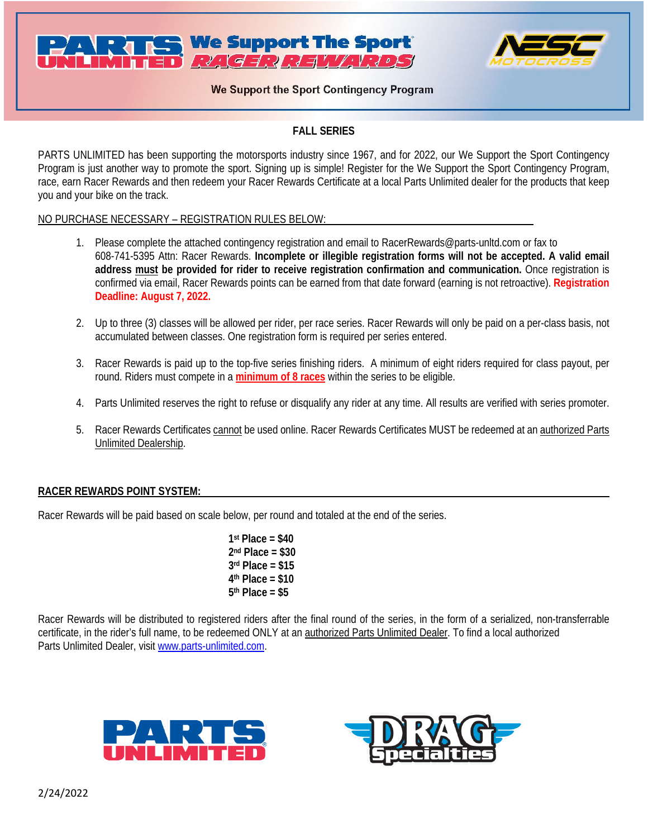



# We Support the Sport Contingency Program

# **FALL SERIES**

PARTS UNLIMITED has been supporting the motorsports industry since 1967, and for 2022, our We Support the Sport Contingency Program is just another way to promote the sport. Signing up is simple! Register for the We Support the Sport Contingency Program, race, earn Racer Rewards and then redeem your Racer Rewards Certificate at a local Parts Unlimited dealer for the products that keep you and your bike on the track.

### NO PURCHASE NECESSARY – REGISTRATION RULES BELOW:

- 1. Please complete the attached contingency registration and email to RacerRewards@parts-unltd.com or fax to 608-741-5395 Attn: Racer Rewards. **Incomplete or illegible registration forms will not be accepted. A valid email address must be provided for rider to receive registration confirmation and communication.** Once registration is confirmed via email, Racer Rewards points can be earned from that date forward (earning is not retroactive). **Registration Deadline: August 7, 2022.**
- 2. Up to three (3) classes will be allowed per rider, per race series. Racer Rewards will only be paid on a per-class basis, not accumulated between classes. One registration form is required per series entered.
- 3. Racer Rewards is paid up to the top-five series finishing riders. A minimum of eight riders required for class payout, per round. Riders must compete in a **minimum of 8 races** within the series to be eligible.
- 4. Parts Unlimited reserves the right to refuse or disqualify any rider at any time. All results are verified with series promoter.
- 5. Racer Rewards Certificates cannot be used online. Racer Rewards Certificates MUST be redeemed at an authorized Parts Unlimited Dealership.

### **RACER REWARDS POINT SYSTEM:**

Racer Rewards will be paid based on scale below, per round and totaled at the end of the series.

**1st Place = \$40 2nd Place = \$30 3rd Place = \$15 4th Place = \$10 5th Place = \$5**

Racer Rewards will be distributed to registered riders after the final round of the series, in the form of a serialized, non-transferrable certificate, in the rider's full name, to be redeemed ONLY at an authorized Parts Unlimited Dealer. To find a local authorized Parts Unlimited Dealer, visit [www.parts-unlimited.com.](http://www.parts-unlimited.com/)